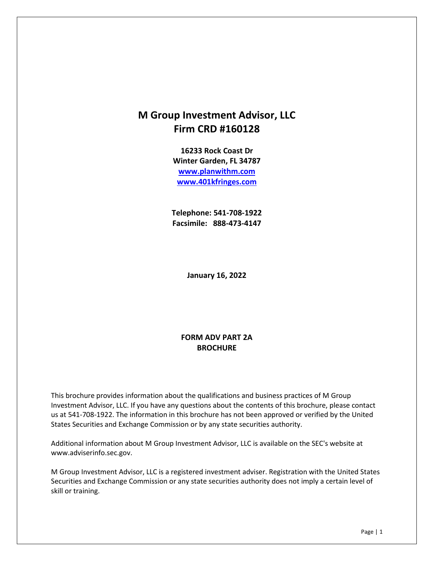## **M Group Investment Advisor, LLC Firm CRD #160128**

**16233 Rock Coast Dr Winter Garden, FL 34787 [www.planwithm.com](http://www.planwithm.com/) [www.401kfringes.com](http://www.401kfringes.com/)**

**Telephone: 541-708-1922 Facsimile: 888-473-4147**

**January 16, 2022**

#### **FORM ADV PART 2A BROCHURE**

This brochure provides information about the qualifications and business practices of M Group Investment Advisor, LLC. If you have any questions about the contents of this brochure, please contact us at 541-708-1922. The information in this brochure has not been approved or verified by the United States Securities and Exchange Commission or by any state securities authority.

Additional information about M Group Investment Advisor, LLC is available on the SEC's website at www.adviserinfo.sec.gov.

M Group Investment Advisor, LLC is a registered investment adviser. Registration with the United States Securities and Exchange Commission or any state securities authority does not imply a certain level of skill or training.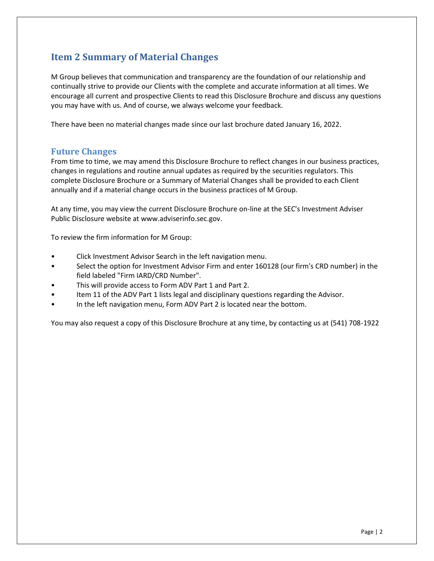## <span id="page-1-0"></span>**Item 2 Summary of Material Changes**

M Group believes that communication and transparency are the foundation of our relationship and continually strive to provide our Clients with the complete and accurate information at all times. We encourage all current and prospective Clients to read this Disclosure Brochure and discuss any questions you may have with us. And of course, we always welcome your feedback.

There have been no material changes made since our last brochure dated January 16, 2022.

#### <span id="page-1-1"></span>**Future Changes**

From time to time, we may amend this Disclosure Brochure to reflect changes in our business practices, changes in regulations and routine annual updates as required by the securities regulators. This complete Disclosure Brochure or a Summary of Material Changes shall be provided to each Client annually and if a material change occurs in the business practices of M Group.

At any time, you may view the current Disclosure Brochure on-line at the SEC's Investment Adviser Public Disclosure website at www.adviserinfo.sec.gov.

To review the firm information for M Group:

- Click Investment Advisor Search in the left navigation menu.
- Select the option for Investment Advisor Firm and enter 160128 (our firm's CRD number) in the field labeled "Firm IARD/CRD Number".
- This will provide access to Form ADV Part 1 and Part 2.
- Item 11 of the ADV Part 1 lists legal and disciplinary questions regarding the Advisor.
- In the left navigation menu, Form ADV Part 2 is located near the bottom.

You may also request a copy of this Disclosure Brochure at any time, by contacting us at (541) 708-1922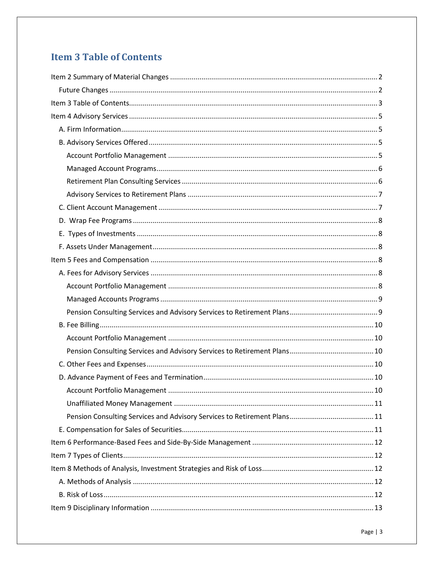# <span id="page-2-0"></span>**Item 3 Table of Contents**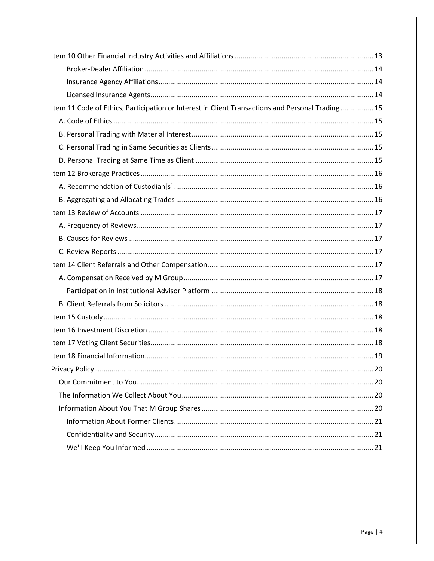| Item 11 Code of Ethics, Participation or Interest in Client Transactions and Personal Trading 15 |  |
|--------------------------------------------------------------------------------------------------|--|
|                                                                                                  |  |
|                                                                                                  |  |
|                                                                                                  |  |
|                                                                                                  |  |
|                                                                                                  |  |
|                                                                                                  |  |
|                                                                                                  |  |
|                                                                                                  |  |
|                                                                                                  |  |
|                                                                                                  |  |
|                                                                                                  |  |
|                                                                                                  |  |
|                                                                                                  |  |
|                                                                                                  |  |
|                                                                                                  |  |
|                                                                                                  |  |
|                                                                                                  |  |
|                                                                                                  |  |
|                                                                                                  |  |
|                                                                                                  |  |
|                                                                                                  |  |
|                                                                                                  |  |
|                                                                                                  |  |
|                                                                                                  |  |
|                                                                                                  |  |
|                                                                                                  |  |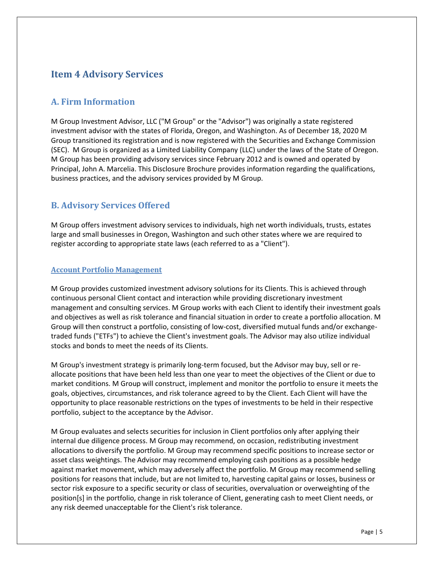## <span id="page-4-0"></span>**Item 4 Advisory Services**

### <span id="page-4-1"></span>**A. Firm Information**

M Group Investment Advisor, LLC ("M Group" or the "Advisor") was originally a state registered investment advisor with the states of Florida, Oregon, and Washington. As of December 18, 2020 M Group transitioned its registration and is now registered with the Securities and Exchange Commission (SEC). M Group is organized as a Limited Liability Company (LLC) under the laws of the State of Oregon. M Group has been providing advisory services since February 2012 and is owned and operated by Principal, John A. Marcelia. This Disclosure Brochure provides information regarding the qualifications, business practices, and the advisory services provided by M Group.

### <span id="page-4-2"></span>**B. Advisory Services Offered**

M Group offers investment advisory services to individuals, high net worth individuals, trusts, estates large and small businesses in Oregon, Washington and such other states where we are required to register according to appropriate state laws (each referred to as a "Client").

#### <span id="page-4-3"></span>**Account Portfolio Management**

M Group provides customized investment advisory solutions for its Clients. This is achieved through continuous personal Client contact and interaction while providing discretionary investment management and consulting services. M Group works with each Client to identify their investment goals and objectives as well as risk tolerance and financial situation in order to create a portfolio allocation. M Group will then construct a portfolio, consisting of low-cost, diversified mutual funds and/or exchangetraded funds ("ETFs") to achieve the Client's investment goals. The Advisor may also utilize individual stocks and bonds to meet the needs of its Clients.

M Group's investment strategy is primarily long-term focused, but the Advisor may buy, sell or reallocate positions that have been held less than one year to meet the objectives of the Client or due to market conditions. M Group will construct, implement and monitor the portfolio to ensure it meets the goals, objectives, circumstances, and risk tolerance agreed to by the Client. Each Client will have the opportunity to place reasonable restrictions on the types of investments to be held in their respective portfolio, subject to the acceptance by the Advisor.

M Group evaluates and selects securities for inclusion in Client portfolios only after applying their internal due diligence process. M Group may recommend, on occasion, redistributing investment allocations to diversify the portfolio. M Group may recommend specific positions to increase sector or asset class weightings. The Advisor may recommend employing cash positions as a possible hedge against market movement, which may adversely affect the portfolio. M Group may recommend selling positions for reasons that include, but are not limited to, harvesting capital gains or losses, business or sector risk exposure to a specific security or class of securities, overvaluation or overweighting of the position[s] in the portfolio, change in risk tolerance of Client, generating cash to meet Client needs, or any risk deemed unacceptable for the Client's risk tolerance.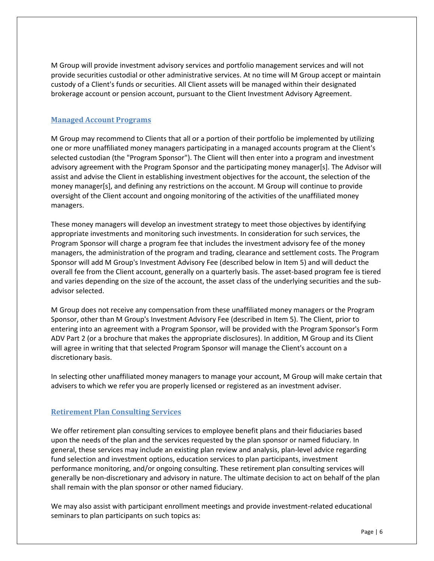M Group will provide investment advisory services and portfolio management services and will not provide securities custodial or other administrative services. At no time will M Group accept or maintain custody of a Client's funds or securities. All Client assets will be managed within their designated brokerage account or pension account, pursuant to the Client Investment Advisory Agreement.

#### <span id="page-5-0"></span>**Managed Account Programs**

M Group may recommend to Clients that all or a portion of their portfolio be implemented by utilizing one or more unaffiliated money managers participating in a managed accounts program at the Client's selected custodian (the "Program Sponsor"). The Client will then enter into a program and investment advisory agreement with the Program Sponsor and the participating money manager[s]. The Advisor will assist and advise the Client in establishing investment objectives for the account, the selection of the money manager[s], and defining any restrictions on the account. M Group will continue to provide oversight of the Client account and ongoing monitoring of the activities of the unaffiliated money managers.

These money managers will develop an investment strategy to meet those objectives by identifying appropriate investments and monitoring such investments. In consideration for such services, the Program Sponsor will charge a program fee that includes the investment advisory fee of the money managers, the administration of the program and trading, clearance and settlement costs. The Program Sponsor will add M Group's Investment Advisory Fee (described below in Item 5) and will deduct the overall fee from the Client account, generally on a quarterly basis. The asset-based program fee is tiered and varies depending on the size of the account, the asset class of the underlying securities and the subadvisor selected.

M Group does not receive any compensation from these unaffiliated money managers or the Program Sponsor, other than M Group's Investment Advisory Fee (described in Item 5). The Client, prior to entering into an agreement with a Program Sponsor, will be provided with the Program Sponsor's Form ADV Part 2 (or a brochure that makes the appropriate disclosures). In addition, M Group and its Client will agree in writing that that selected Program Sponsor will manage the Client's account on a discretionary basis.

In selecting other unaffiliated money managers to manage your account, M Group will make certain that advisers to which we refer you are properly licensed or registered as an investment adviser.

#### <span id="page-5-1"></span>**Retirement Plan Consulting Services**

We offer retirement plan consulting services to employee benefit plans and their fiduciaries based upon the needs of the plan and the services requested by the plan sponsor or named fiduciary. In general, these services may include an existing plan review and analysis, plan-level advice regarding fund selection and investment options, education services to plan participants, investment performance monitoring, and/or ongoing consulting. These retirement plan consulting services will generally be non-discretionary and advisory in nature. The ultimate decision to act on behalf of the plan shall remain with the plan sponsor or other named fiduciary.

We may also assist with participant enrollment meetings and provide investment-related educational seminars to plan participants on such topics as: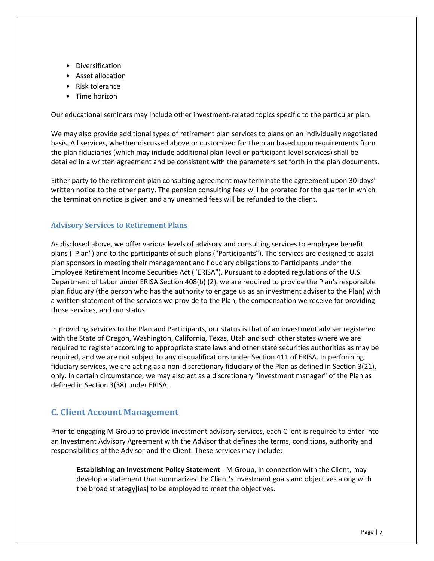- Diversification
- Asset allocation
- Risk tolerance
- Time horizon

Our educational seminars may include other investment-related topics specific to the particular plan.

We may also provide additional types of retirement plan services to plans on an individually negotiated basis. All services, whether discussed above or customized for the plan based upon requirements from the plan fiduciaries (which may include additional plan-level or participant-level services) shall be detailed in a written agreement and be consistent with the parameters set forth in the plan documents.

Either party to the retirement plan consulting agreement may terminate the agreement upon 30-days' written notice to the other party. The pension consulting fees will be prorated for the quarter in which the termination notice is given and any unearned fees will be refunded to the client.

#### <span id="page-6-0"></span>**Advisory Services to Retirement Plans**

As disclosed above, we offer various levels of advisory and consulting services to employee benefit plans ("Plan") and to the participants of such plans ("Participants"). The services are designed to assist plan sponsors in meeting their management and fiduciary obligations to Participants under the Employee Retirement Income Securities Act ("ERISA"). Pursuant to adopted regulations of the U.S. Department of Labor under ERISA Section 408(b) (2), we are required to provide the Plan's responsible plan fiduciary (the person who has the authority to engage us as an investment adviser to the Plan) with a written statement of the services we provide to the Plan, the compensation we receive for providing those services, and our status.

In providing services to the Plan and Participants, our status is that of an investment adviser registered with the State of Oregon, Washington, California, Texas, Utah and such other states where we are required to register according to appropriate state laws and other state securities authorities as may be required, and we are not subject to any disqualifications under Section 411 of ERISA. In performing fiduciary services, we are acting as a non-discretionary fiduciary of the Plan as defined in Section 3(21), only. In certain circumstance, we may also act as a discretionary "investment manager" of the Plan as defined in Section 3(38) under ERISA.

### <span id="page-6-1"></span>**C. Client Account Management**

Prior to engaging M Group to provide investment advisory services, each Client is required to enter into an Investment Advisory Agreement with the Advisor that defines the terms, conditions, authority and responsibilities of the Advisor and the Client. These services may include:

**Establishing an Investment Policy Statement** - M Group, in connection with the Client, may develop a statement that summarizes the Client's investment goals and objectives along with the broad strategy[ies] to be employed to meet the objectives.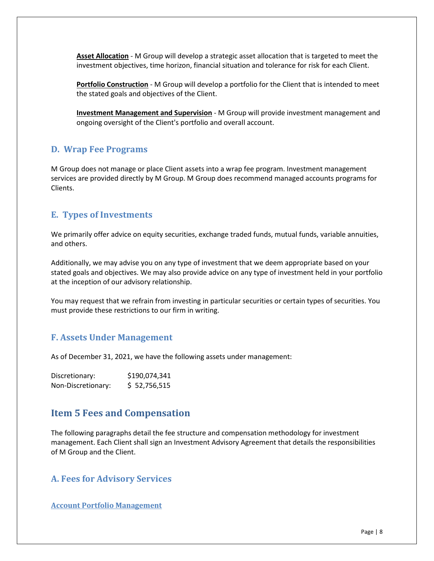**Asset Allocation** - M Group will develop a strategic asset allocation that is targeted to meet the investment objectives, time horizon, financial situation and tolerance for risk for each Client.

**Portfolio Construction** - M Group will develop a portfolio for the Client that is intended to meet the stated goals and objectives of the Client.

**Investment Management and Supervision** - M Group will provide investment management and ongoing oversight of the Client's portfolio and overall account.

### <span id="page-7-0"></span>**D. Wrap Fee Programs**

M Group does not manage or place Client assets into a wrap fee program. Investment management services are provided directly by M Group. M Group does recommend managed accounts programs for Clients.

### <span id="page-7-1"></span>**E. Types of Investments**

We primarily offer advice on equity securities, exchange traded funds, mutual funds, variable annuities, and others.

Additionally, we may advise you on any type of investment that we deem appropriate based on your stated goals and objectives. We may also provide advice on any type of investment held in your portfolio at the inception of our advisory relationship.

You may request that we refrain from investing in particular securities or certain types of securities. You must provide these restrictions to our firm in writing.

### <span id="page-7-2"></span>**F. Assets Under Management**

As of December 31, 2021, we have the following assets under management:

| Discretionary:     | \$190,074,341 |
|--------------------|---------------|
| Non-Discretionary: | \$ 52,756,515 |

### <span id="page-7-3"></span>**Item 5 Fees and Compensation**

The following paragraphs detail the fee structure and compensation methodology for investment management. Each Client shall sign an Investment Advisory Agreement that details the responsibilities of M Group and the Client.

### <span id="page-7-4"></span>**A. Fees for Advisory Services**

<span id="page-7-5"></span>**Account Portfolio Management**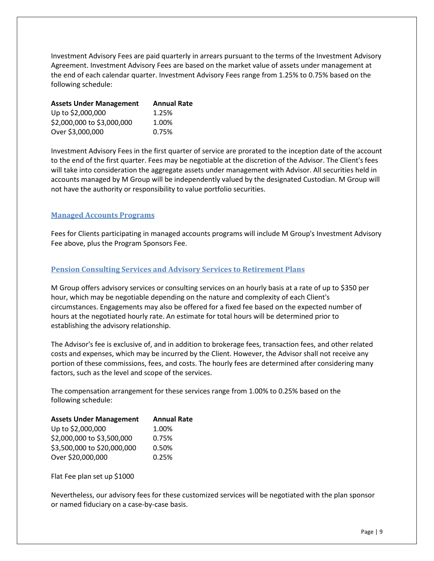Investment Advisory Fees are paid quarterly in arrears pursuant to the terms of the Investment Advisory Agreement. Investment Advisory Fees are based on the market value of assets under management at the end of each calendar quarter. Investment Advisory Fees range from 1.25% to 0.75% based on the following schedule:

| <b>Assets Under Management</b> | <b>Annual Rate</b> |
|--------------------------------|--------------------|
| Up to \$2,000,000              | 1.25%              |
| \$2,000,000 to \$3,000,000     | 1.00%              |
| Over \$3,000,000               | 0.75%              |

Investment Advisory Fees in the first quarter of service are prorated to the inception date of the account to the end of the first quarter. Fees may be negotiable at the discretion of the Advisor. The Client's fees will take into consideration the aggregate assets under management with Advisor. All securities held in accounts managed by M Group will be independently valued by the designated Custodian. M Group will not have the authority or responsibility to value portfolio securities.

#### <span id="page-8-0"></span>**Managed Accounts Programs**

Fees for Clients participating in managed accounts programs will include M Group's Investment Advisory Fee above, plus the Program Sponsors Fee.

#### <span id="page-8-1"></span>**Pension Consulting Services and Advisory Services to Retirement Plans**

M Group offers advisory services or consulting services on an hourly basis at a rate of up to \$350 per hour, which may be negotiable depending on the nature and complexity of each Client's circumstances. Engagements may also be offered for a fixed fee based on the expected number of hours at the negotiated hourly rate. An estimate for total hours will be determined prior to establishing the advisory relationship.

The Advisor's fee is exclusive of, and in addition to brokerage fees, transaction fees, and other related costs and expenses, which may be incurred by the Client. However, the Advisor shall not receive any portion of these commissions, fees, and costs. The hourly fees are determined after considering many factors, such as the level and scope of the services.

The compensation arrangement for these services range from 1.00% to 0.25% based on the following schedule:

| <b>Assets Under Management</b> | <b>Annual Rate</b> |
|--------------------------------|--------------------|
| Up to \$2,000,000              | 1.00%              |
| \$2,000,000 to \$3,500,000     | 0.75%              |
| \$3,500,000 to \$20,000,000    | 0.50%              |
| Over \$20,000,000              | 0.25%              |
|                                |                    |

Flat Fee plan set up \$1000

Nevertheless, our advisory fees for these customized services will be negotiated with the plan sponsor or named fiduciary on a case-by-case basis.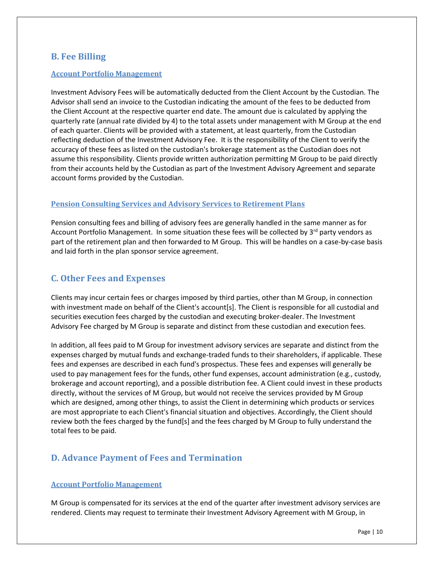### <span id="page-9-0"></span>**B. Fee Billing**

#### <span id="page-9-1"></span>**Account Portfolio Management**

Investment Advisory Fees will be automatically deducted from the Client Account by the Custodian. The Advisor shall send an invoice to the Custodian indicating the amount of the fees to be deducted from the Client Account at the respective quarter end date. The amount due is calculated by applying the quarterly rate (annual rate divided by 4) to the total assets under management with M Group at the end of each quarter. Clients will be provided with a statement, at least quarterly, from the Custodian reflecting deduction of the Investment Advisory Fee. It is the responsibility of the Client to verify the accuracy of these fees as listed on the custodian's brokerage statement as the Custodian does not assume this responsibility. Clients provide written authorization permitting M Group to be paid directly from their accounts held by the Custodian as part of the Investment Advisory Agreement and separate account forms provided by the Custodian.

#### <span id="page-9-2"></span>**Pension Consulting Services and Advisory Services to Retirement Plans**

Pension consulting fees and billing of advisory fees are generally handled in the same manner as for Account Portfolio Management. In some situation these fees will be collected by  $3<sup>rd</sup>$  party vendors as part of the retirement plan and then forwarded to M Group. This will be handles on a case-by-case basis and laid forth in the plan sponsor service agreement.

### <span id="page-9-3"></span>**C. Other Fees and Expenses**

Clients may incur certain fees or charges imposed by third parties, other than M Group, in connection with investment made on behalf of the Client's account[s]. The Client is responsible for all custodial and securities execution fees charged by the custodian and executing broker-dealer. The Investment Advisory Fee charged by M Group is separate and distinct from these custodian and execution fees.

In addition, all fees paid to M Group for investment advisory services are separate and distinct from the expenses charged by mutual funds and exchange-traded funds to their shareholders, if applicable. These fees and expenses are described in each fund's prospectus. These fees and expenses will generally be used to pay management fees for the funds, other fund expenses, account administration (e.g., custody, brokerage and account reporting), and a possible distribution fee. A Client could invest in these products directly, without the services of M Group, but would not receive the services provided by M Group which are designed, among other things, to assist the Client in determining which products or services are most appropriate to each Client's financial situation and objectives. Accordingly, the Client should review both the fees charged by the fund[s] and the fees charged by M Group to fully understand the total fees to be paid.

### <span id="page-9-4"></span>**D. Advance Payment of Fees and Termination**

#### <span id="page-9-5"></span>**Account Portfolio Management**

M Group is compensated for its services at the end of the quarter after investment advisory services are rendered. Clients may request to terminate their Investment Advisory Agreement with M Group, in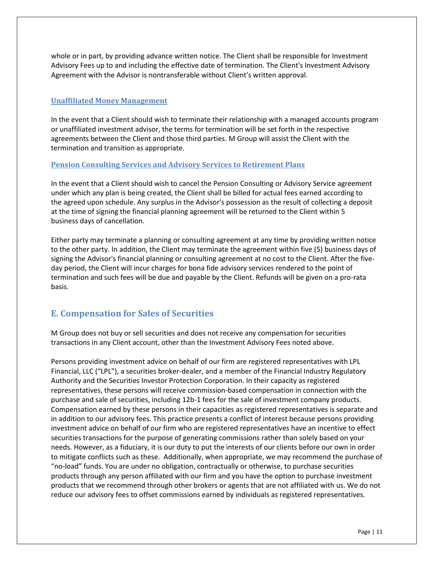whole or in part, by providing advance written notice. The Client shall be responsible for Investment Advisory Fees up to and including the effective date of termination. The Client's Investment Advisory Agreement with the Advisor is nontransferable without Client's written approval.

#### <span id="page-10-0"></span>**Unaffiliated Money Management**

In the event that a Client should wish to terminate their relationship with a managed accounts program or unaffiliated investment advisor, the terms for termination will be set forth in the respective agreements between the Client and those third parties. M Group will assist the Client with the termination and transition as appropriate.

#### <span id="page-10-1"></span>**Pension Consulting Services and Advisory Services to Retirement Plans**

In the event that a Client should wish to cancel the Pension Consulting or Advisory Service agreement under which any plan is being created, the Client shall be billed for actual fees earned according to the agreed upon schedule. Any surplus in the Advisor's possession as the result of collecting a deposit at the time of signing the financial planning agreement will be returned to the Client within 5 business days of cancellation.

Either party may terminate a planning or consulting agreement at any time by providing written notice to the other party. In addition, the Client may terminate the agreement within five (5) business days of signing the Advisor's financial planning or consulting agreement at no cost to the Client. After the fiveday period, the Client will incur charges for bona fide advisory services rendered to the point of termination and such fees will be due and payable by the Client. Refunds will be given on a pro-rata basis.

### <span id="page-10-2"></span>**E. Compensation for Sales of Securities**

M Group does not buy or sell securities and does not receive any compensation for securities transactions in any Client account, other than the Investment Advisory Fees noted above.

Persons providing investment advice on behalf of our firm are registered representatives with LPL Financial, LLC ("LPL"), a securities broker-dealer, and a member of the Financial Industry Regulatory Authority and the Securities Investor Protection Corporation. In their capacity as registered representatives, these persons will receive commission-based compensation in connection with the purchase and sale of securities, including 12b-1 fees for the sale of investment company products. Compensation earned by these persons in their capacities as registered representatives is separate and in addition to our advisory fees. This practice presents a conflict of interest because persons providing investment advice on behalf of our firm who are registered representatives have an incentive to effect securities transactions for the purpose of generating commissions rather than solely based on your needs. However, as a fiduciary, it is our duty to put the interests of our clients before our own in order to mitigate conflicts such as these. Additionally, when appropriate, we may recommend the purchase of "no-load" funds. You are under no obligation, contractually or otherwise, to purchase securities products through any person affiliated with our firm and you have the option to purchase investment products that we recommend through other brokers or agents that are not affiliated with us. We do not reduce our advisory fees to offset commissions earned by individuals as registered representatives.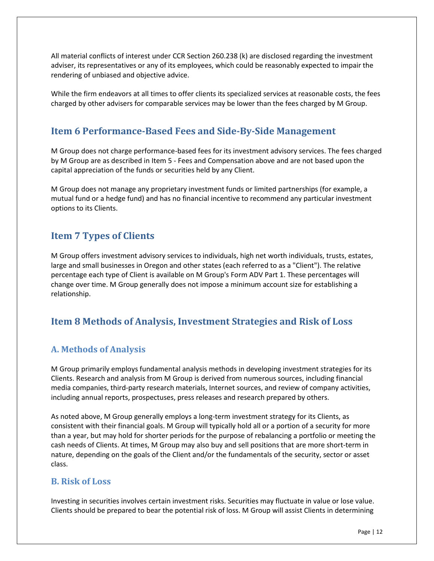All material conflicts of interest under CCR Section 260.238 (k) are disclosed regarding the investment adviser, its representatives or any of its employees, which could be reasonably expected to impair the rendering of unbiased and objective advice.

<span id="page-11-0"></span>While the firm endeavors at all times to offer clients its specialized services at reasonable costs, the fees charged by other advisers for comparable services may be lower than the fees charged by M Group.

### **Item 6 Performance-Based Fees and Side-By-Side Management**

M Group does not charge performance-based fees for its investment advisory services. The fees charged by M Group are as described in Item 5 - Fees and Compensation above and are not based upon the capital appreciation of the funds or securities held by any Client.

M Group does not manage any proprietary investment funds or limited partnerships (for example, a mutual fund or a hedge fund) and has no financial incentive to recommend any particular investment options to its Clients.

### <span id="page-11-1"></span>**Item 7 Types of Clients**

M Group offers investment advisory services to individuals, high net worth individuals, trusts, estates, large and small businesses in Oregon and other states (each referred to as a "Client"). The relative percentage each type of Client is available on M Group's Form ADV Part 1. These percentages will change over time. M Group generally does not impose a minimum account size for establishing a relationship.

### <span id="page-11-2"></span>**Item 8 Methods of Analysis, Investment Strategies and Risk of Loss**

### <span id="page-11-3"></span>**A. Methods of Analysis**

M Group primarily employs fundamental analysis methods in developing investment strategies for its Clients. Research and analysis from M Group is derived from numerous sources, including financial media companies, third-party research materials, Internet sources, and review of company activities, including annual reports, prospectuses, press releases and research prepared by others.

As noted above, M Group generally employs a long-term investment strategy for its Clients, as consistent with their financial goals. M Group will typically hold all or a portion of a security for more than a year, but may hold for shorter periods for the purpose of rebalancing a portfolio or meeting the cash needs of Clients. At times, M Group may also buy and sell positions that are more short-term in nature, depending on the goals of the Client and/or the fundamentals of the security, sector or asset class.

#### <span id="page-11-4"></span>**B. Risk of Loss**

Investing in securities involves certain investment risks. Securities may fluctuate in value or lose value. Clients should be prepared to bear the potential risk of loss. M Group will assist Clients in determining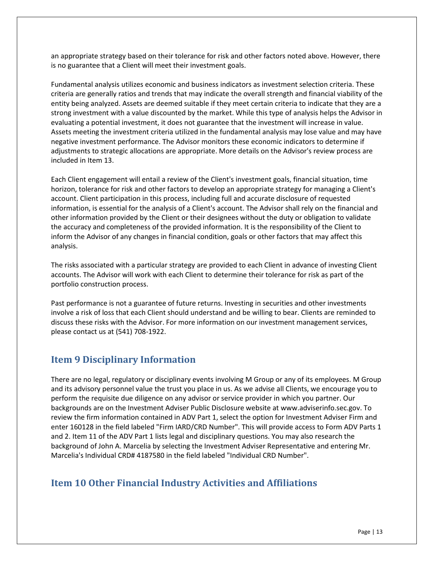an appropriate strategy based on their tolerance for risk and other factors noted above. However, there is no guarantee that a Client will meet their investment goals.

Fundamental analysis utilizes economic and business indicators as investment selection criteria. These criteria are generally ratios and trends that may indicate the overall strength and financial viability of the entity being analyzed. Assets are deemed suitable if they meet certain criteria to indicate that they are a strong investment with a value discounted by the market. While this type of analysis helps the Advisor in evaluating a potential investment, it does not guarantee that the investment will increase in value. Assets meeting the investment criteria utilized in the fundamental analysis may lose value and may have negative investment performance. The Advisor monitors these economic indicators to determine if adjustments to strategic allocations are appropriate. More details on the Advisor's review process are included in Item 13.

Each Client engagement will entail a review of the Client's investment goals, financial situation, time horizon, tolerance for risk and other factors to develop an appropriate strategy for managing a Client's account. Client participation in this process, including full and accurate disclosure of requested information, is essential for the analysis of a Client's account. The Advisor shall rely on the financial and other information provided by the Client or their designees without the duty or obligation to validate the accuracy and completeness of the provided information. It is the responsibility of the Client to inform the Advisor of any changes in financial condition, goals or other factors that may affect this analysis.

The risks associated with a particular strategy are provided to each Client in advance of investing Client accounts. The Advisor will work with each Client to determine their tolerance for risk as part of the portfolio construction process.

Past performance is not a guarantee of future returns. Investing in securities and other investments involve a risk of loss that each Client should understand and be willing to bear. Clients are reminded to discuss these risks with the Advisor. For more information on our investment management services, please contact us at (541) 708-1922.

### <span id="page-12-0"></span>**Item 9 Disciplinary Information**

There are no legal, regulatory or disciplinary events involving M Group or any of its employees. M Group and its advisory personnel value the trust you place in us. As we advise all Clients, we encourage you to perform the requisite due diligence on any advisor or service provider in which you partner. Our backgrounds are on the Investment Adviser Public Disclosure website at www.adviserinfo.sec.gov. To review the firm information contained in ADV Part 1, select the option for Investment Adviser Firm and enter 160128 in the field labeled "Firm IARD/CRD Number". This will provide access to Form ADV Parts 1 and 2. Item 11 of the ADV Part 1 lists legal and disciplinary questions. You may also research the background of John A. Marcelia by selecting the Investment Adviser Representative and entering Mr. Marcelia's Individual CRD# 4187580 in the field labeled "Individual CRD Number".

### <span id="page-12-1"></span>**Item 10 Other Financial Industry Activities and Affiliations**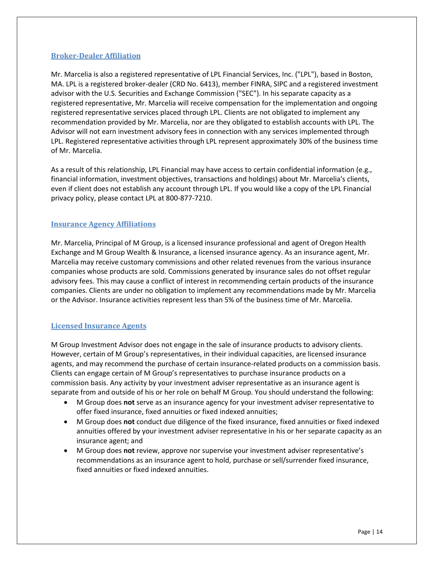#### <span id="page-13-0"></span>**Broker-Dealer Affiliation**

Mr. Marcelia is also a registered representative of LPL Financial Services, Inc. ("LPL"), based in Boston, MA. LPL is a registered broker-dealer (CRD No. 6413), member FINRA, SIPC and a registered investment advisor with the U.S. Securities and Exchange Commission ("SEC"). In his separate capacity as a registered representative, Mr. Marcelia will receive compensation for the implementation and ongoing registered representative services placed through LPL. Clients are not obligated to implement any recommendation provided by Mr. Marcelia, nor are they obligated to establish accounts with LPL. The Advisor will not earn investment advisory fees in connection with any services implemented through LPL. Registered representative activities through LPL represent approximately 30% of the business time of Mr. Marcelia.

As a result of this relationship, LPL Financial may have access to certain confidential information (e.g., financial information, investment objectives, transactions and holdings) about Mr. Marcelia's clients, even if client does not establish any account through LPL. If you would like a copy of the LPL Financial privacy policy, please contact LPL at 800-877-7210.

#### <span id="page-13-1"></span>**Insurance Agency Affiliations**

Mr. Marcelia, Principal of M Group, is a licensed insurance professional and agent of Oregon Health Exchange and M Group Wealth & Insurance, a licensed insurance agency. As an insurance agent, Mr. Marcelia may receive customary commissions and other related revenues from the various insurance companies whose products are sold. Commissions generated by insurance sales do not offset regular advisory fees. This may cause a conflict of interest in recommending certain products of the insurance companies. Clients are under no obligation to implement any recommendations made by Mr. Marcelia or the Advisor. Insurance activities represent less than 5% of the business time of Mr. Marcelia.

#### <span id="page-13-2"></span>**Licensed Insurance Agents**

M Group Investment Advisor does not engage in the sale of insurance products to advisory clients. However, certain of M Group's representatives, in their individual capacities, are licensed insurance agents, and may recommend the purchase of certain insurance-related products on a commission basis. Clients can engage certain of M Group's representatives to purchase insurance products on a commission basis. Any activity by your investment adviser representative as an insurance agent is separate from and outside of his or her role on behalf M Group. You should understand the following:

- M Group does **not** serve as an insurance agency for your investment adviser representative to offer fixed insurance, fixed annuities or fixed indexed annuities;
- M Group does **not** conduct due diligence of the fixed insurance, fixed annuities or fixed indexed annuities offered by your investment adviser representative in his or her separate capacity as an insurance agent; and
- M Group does **not** review, approve nor supervise your investment adviser representative's recommendations as an insurance agent to hold, purchase or sell/surrender fixed insurance, fixed annuities or fixed indexed annuities.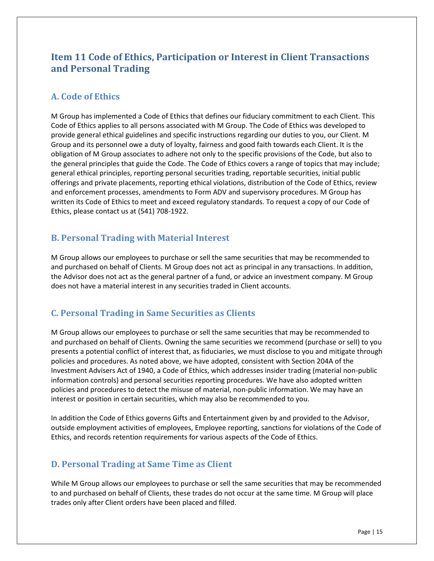## <span id="page-14-0"></span>**Item 11 Code of Ethics, Participation or Interest in Client Transactions and Personal Trading**

### <span id="page-14-1"></span>**A. Code of Ethics**

M Group has implemented a Code of Ethics that defines our fiduciary commitment to each Client. This Code of Ethics applies to all persons associated with M Group. The Code of Ethics was developed to provide general ethical guidelines and specific instructions regarding our duties to you, our Client. M Group and its personnel owe a duty of loyalty, fairness and good faith towards each Client. It is the obligation of M Group associates to adhere not only to the specific provisions of the Code, but also to the general principles that guide the Code. The Code of Ethics covers a range of topics that may include; general ethical principles, reporting personal securities trading, reportable securities, initial public offerings and private placements, reporting ethical violations, distribution of the Code of Ethics, review and enforcement processes, amendments to Form ADV and supervisory procedures. M Group has written its Code of Ethics to meet and exceed regulatory standards. To request a copy of our Code of Ethics, please contact us at (541) 708-1922.

### <span id="page-14-2"></span>**B. Personal Trading with Material Interest**

M Group allows our employees to purchase or sell the same securities that may be recommended to and purchased on behalf of Clients. M Group does not act as principal in any transactions. In addition, the Advisor does not act as the general partner of a fund, or advice an investment company. M Group does not have a material interest in any securities traded in Client accounts.

### <span id="page-14-3"></span>**C. Personal Trading in Same Securities as Clients**

M Group allows our employees to purchase or sell the same securities that may be recommended to and purchased on behalf of Clients. Owning the same securities we recommend (purchase or sell) to you presents a potential conflict of interest that, as fiduciaries, we must disclose to you and mitigate through policies and procedures. As noted above, we have adopted, consistent with Section 204A of the Investment Advisers Act of 1940, a Code of Ethics, which addresses insider trading (material non-public information controls) and personal securities reporting procedures. We have also adopted written policies and procedures to detect the misuse of material, non-public information. We may have an interest or position in certain securities, which may also be recommended to you.

In addition the Code of Ethics governs Gifts and Entertainment given by and provided to the Advisor, outside employment activities of employees, Employee reporting, sanctions for violations of the Code of Ethics, and records retention requirements for various aspects of the Code of Ethics.

### <span id="page-14-4"></span>**D. Personal Trading at Same Time as Client**

While M Group allows our employees to purchase or sell the same securities that may be recommended to and purchased on behalf of Clients, these trades do not occur at the same time. M Group will place trades only after Client orders have been placed and filled.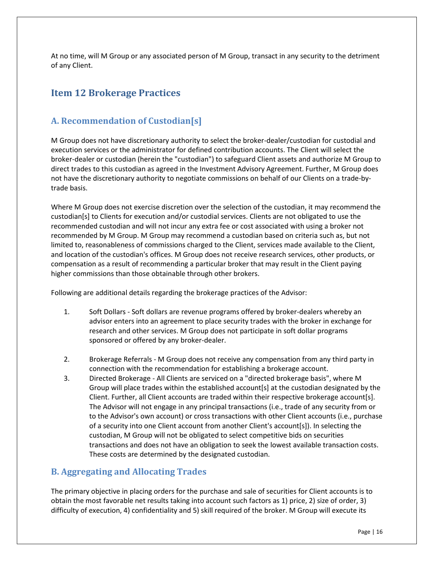<span id="page-15-0"></span>At no time, will M Group or any associated person of M Group, transact in any security to the detriment of any Client.

### **Item 12 Brokerage Practices**

### <span id="page-15-1"></span>**A. Recommendation of Custodian[s]**

M Group does not have discretionary authority to select the broker-dealer/custodian for custodial and execution services or the administrator for defined contribution accounts. The Client will select the broker-dealer or custodian (herein the "custodian") to safeguard Client assets and authorize M Group to direct trades to this custodian as agreed in the Investment Advisory Agreement. Further, M Group does not have the discretionary authority to negotiate commissions on behalf of our Clients on a trade-bytrade basis.

Where M Group does not exercise discretion over the selection of the custodian, it may recommend the custodian[s] to Clients for execution and/or custodial services. Clients are not obligated to use the recommended custodian and will not incur any extra fee or cost associated with using a broker not recommended by M Group. M Group may recommend a custodian based on criteria such as, but not limited to, reasonableness of commissions charged to the Client, services made available to the Client, and location of the custodian's offices. M Group does not receive research services, other products, or compensation as a result of recommending a particular broker that may result in the Client paying higher commissions than those obtainable through other brokers.

Following are additional details regarding the brokerage practices of the Advisor:

- 1. Soft Dollars Soft dollars are revenue programs offered by broker-dealers whereby an advisor enters into an agreement to place security trades with the broker in exchange for research and other services. M Group does not participate in soft dollar programs sponsored or offered by any broker-dealer.
- 2. Brokerage Referrals M Group does not receive any compensation from any third party in connection with the recommendation for establishing a brokerage account.
- 3. Directed Brokerage All Clients are serviced on a "directed brokerage basis", where M Group will place trades within the established account[s] at the custodian designated by the Client. Further, all Client accounts are traded within their respective brokerage account[s]. The Advisor will not engage in any principal transactions (i.e., trade of any security from or to the Advisor's own account) or cross transactions with other Client accounts (i.e., purchase of a security into one Client account from another Client's account[s]). In selecting the custodian, M Group will not be obligated to select competitive bids on securities transactions and does not have an obligation to seek the lowest available transaction costs. These costs are determined by the designated custodian.

### <span id="page-15-2"></span>**B. Aggregating and Allocating Trades**

The primary objective in placing orders for the purchase and sale of securities for Client accounts is to obtain the most favorable net results taking into account such factors as 1) price, 2) size of order, 3) difficulty of execution, 4) confidentiality and 5) skill required of the broker. M Group will execute its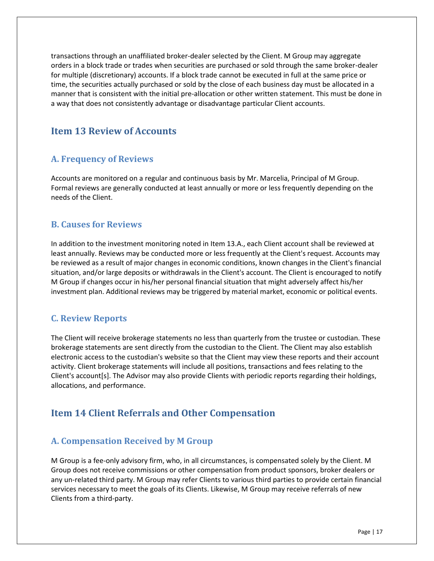transactions through an unaffiliated broker-dealer selected by the Client. M Group may aggregate orders in a block trade or trades when securities are purchased or sold through the same broker-dealer for multiple (discretionary) accounts. If a block trade cannot be executed in full at the same price or time, the securities actually purchased or sold by the close of each business day must be allocated in a manner that is consistent with the initial pre-allocation or other written statement. This must be done in a way that does not consistently advantage or disadvantage particular Client accounts.

### <span id="page-16-0"></span>**Item 13 Review of Accounts**

### <span id="page-16-1"></span>**A. Frequency of Reviews**

Accounts are monitored on a regular and continuous basis by Mr. Marcelia, Principal of M Group. Formal reviews are generally conducted at least annually or more or less frequently depending on the needs of the Client.

### <span id="page-16-2"></span>**B. Causes for Reviews**

In addition to the investment monitoring noted in Item 13.A., each Client account shall be reviewed at least annually. Reviews may be conducted more or less frequently at the Client's request. Accounts may be reviewed as a result of major changes in economic conditions, known changes in the Client's financial situation, and/or large deposits or withdrawals in the Client's account. The Client is encouraged to notify M Group if changes occur in his/her personal financial situation that might adversely affect his/her investment plan. Additional reviews may be triggered by material market, economic or political events.

### <span id="page-16-3"></span>**C. Review Reports**

The Client will receive brokerage statements no less than quarterly from the trustee or custodian. These brokerage statements are sent directly from the custodian to the Client. The Client may also establish electronic access to the custodian's website so that the Client may view these reports and their account activity. Client brokerage statements will include all positions, transactions and fees relating to the Client's account[s]. The Advisor may also provide Clients with periodic reports regarding their holdings, allocations, and performance.

## <span id="page-16-4"></span>**Item 14 Client Referrals and Other Compensation**

### <span id="page-16-5"></span>**A. Compensation Received by M Group**

M Group is a fee-only advisory firm, who, in all circumstances, is compensated solely by the Client. M Group does not receive commissions or other compensation from product sponsors, broker dealers or any un-related third party. M Group may refer Clients to various third parties to provide certain financial services necessary to meet the goals of its Clients. Likewise, M Group may receive referrals of new Clients from a third-party.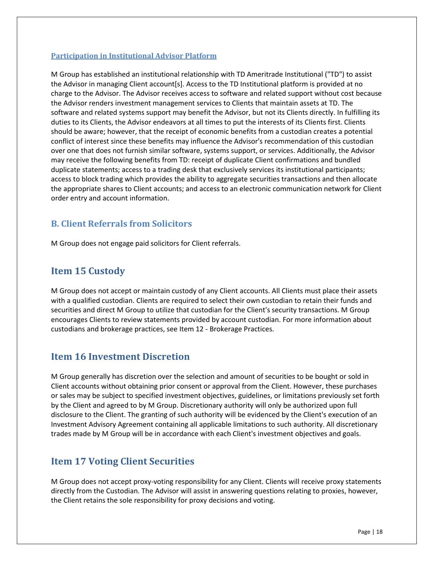#### <span id="page-17-0"></span>**Participation in Institutional Advisor Platform**

M Group has established an institutional relationship with TD Ameritrade Institutional ("TD") to assist the Advisor in managing Client account[s]. Access to the TD Institutional platform is provided at no charge to the Advisor. The Advisor receives access to software and related support without cost because the Advisor renders investment management services to Clients that maintain assets at TD. The software and related systems support may benefit the Advisor, but not its Clients directly. In fulfilling its duties to its Clients, the Advisor endeavors at all times to put the interests of its Clients first. Clients should be aware; however, that the receipt of economic benefits from a custodian creates a potential conflict of interest since these benefits may influence the Advisor's recommendation of this custodian over one that does not furnish similar software, systems support, or services. Additionally, the Advisor may receive the following benefits from TD: receipt of duplicate Client confirmations and bundled duplicate statements; access to a trading desk that exclusively services its institutional participants; access to block trading which provides the ability to aggregate securities transactions and then allocate the appropriate shares to Client accounts; and access to an electronic communication network for Client order entry and account information.

### <span id="page-17-1"></span>**B. Client Referrals from Solicitors**

<span id="page-17-2"></span>M Group does not engage paid solicitors for Client referrals.

### **Item 15 Custody**

M Group does not accept or maintain custody of any Client accounts. All Clients must place their assets with a qualified custodian. Clients are required to select their own custodian to retain their funds and securities and direct M Group to utilize that custodian for the Client's security transactions. M Group encourages Clients to review statements provided by account custodian. For more information about custodians and brokerage practices, see Item 12 - Brokerage Practices.

### <span id="page-17-3"></span>**Item 16 Investment Discretion**

M Group generally has discretion over the selection and amount of securities to be bought or sold in Client accounts without obtaining prior consent or approval from the Client. However, these purchases or sales may be subject to specified investment objectives, guidelines, or limitations previously set forth by the Client and agreed to by M Group. Discretionary authority will only be authorized upon full disclosure to the Client. The granting of such authority will be evidenced by the Client's execution of an Investment Advisory Agreement containing all applicable limitations to such authority. All discretionary trades made by M Group will be in accordance with each Client's investment objectives and goals.

### <span id="page-17-4"></span>**Item 17 Voting Client Securities**

M Group does not accept proxy-voting responsibility for any Client. Clients will receive proxy statements directly from the Custodian. The Advisor will assist in answering questions relating to proxies, however, the Client retains the sole responsibility for proxy decisions and voting.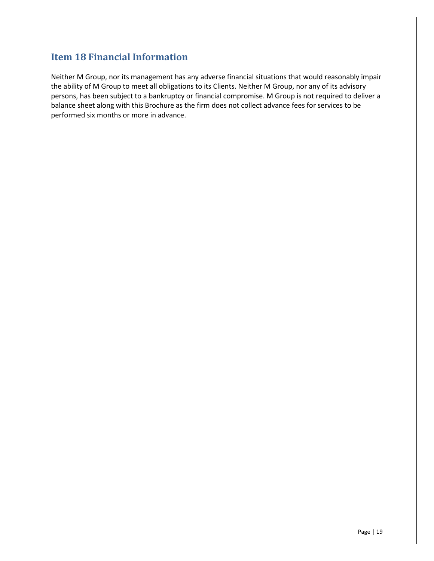## <span id="page-18-0"></span>**Item 18 Financial Information**

Neither M Group, nor its management has any adverse financial situations that would reasonably impair the ability of M Group to meet all obligations to its Clients. Neither M Group, nor any of its advisory persons, has been subject to a bankruptcy or financial compromise. M Group is not required to deliver a balance sheet along with this Brochure as the firm does not collect advance fees for services to be performed six months or more in advance.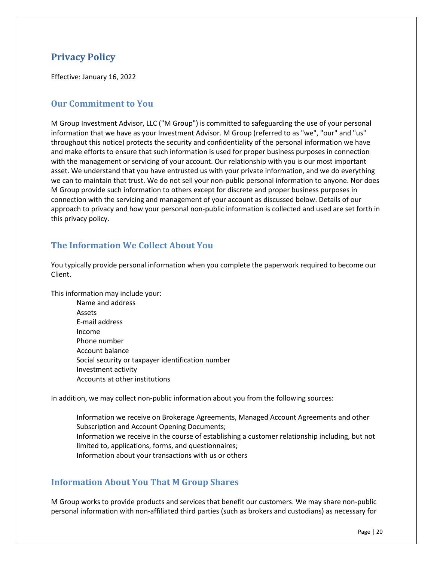## <span id="page-19-0"></span>**Privacy Policy**

Effective: January 16, 2022

### <span id="page-19-1"></span>**Our Commitment to You**

M Group Investment Advisor, LLC ("M Group") is committed to safeguarding the use of your personal information that we have as your Investment Advisor. M Group (referred to as "we", "our" and "us" throughout this notice) protects the security and confidentiality of the personal information we have and make efforts to ensure that such information is used for proper business purposes in connection with the management or servicing of your account. Our relationship with you is our most important asset. We understand that you have entrusted us with your private information, and we do everything we can to maintain that trust. We do not sell your non-public personal information to anyone. Nor does M Group provide such information to others except for discrete and proper business purposes in connection with the servicing and management of your account as discussed below. Details of our approach to privacy and how your personal non-public information is collected and used are set forth in this privacy policy.

### <span id="page-19-2"></span>**The Information We Collect About You**

You typically provide personal information when you complete the paperwork required to become our Client.

This information may include your:

Name and address Assets E-mail address Income Phone number Account balance Social security or taxpayer identification number Investment activity Accounts at other institutions

In addition, we may collect non-public information about you from the following sources:

Information we receive on Brokerage Agreements, Managed Account Agreements and other Subscription and Account Opening Documents; Information we receive in the course of establishing a customer relationship including, but not limited to, applications, forms, and questionnaires; Information about your transactions with us or others

### <span id="page-19-3"></span>**Information About You That M Group Shares**

M Group works to provide products and services that benefit our customers. We may share non-public personal information with non-affiliated third parties (such as brokers and custodians) as necessary for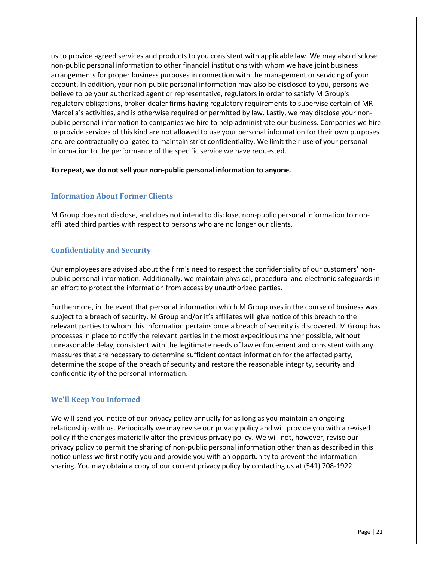us to provide agreed services and products to you consistent with applicable law. We may also disclose non-public personal information to other financial institutions with whom we have joint business arrangements for proper business purposes in connection with the management or servicing of your account. In addition, your non-public personal information may also be disclosed to you, persons we believe to be your authorized agent or representative, regulators in order to satisfy M Group's regulatory obligations, broker-dealer firms having regulatory requirements to supervise certain of MR Marcelia's activities, and is otherwise required or permitted by law. Lastly, we may disclose your nonpublic personal information to companies we hire to help administrate our business. Companies we hire to provide services of this kind are not allowed to use your personal information for their own purposes and are contractually obligated to maintain strict confidentiality. We limit their use of your personal information to the performance of the specific service we have requested.

#### **To repeat, we do not sell your non-public personal information to anyone.**

#### <span id="page-20-0"></span>**Information About Former Clients**

M Group does not disclose, and does not intend to disclose, non-public personal information to nonaffiliated third parties with respect to persons who are no longer our clients.

#### <span id="page-20-1"></span>**Confidentiality and Security**

Our employees are advised about the firm's need to respect the confidentiality of our customers' nonpublic personal information. Additionally, we maintain physical, procedural and electronic safeguards in an effort to protect the information from access by unauthorized parties.

Furthermore, in the event that personal information which M Group uses in the course of business was subject to a breach of security. M Group and/or it's affiliates will give notice of this breach to the relevant parties to whom this information pertains once a breach of security is discovered. M Group has processes in place to notify the relevant parties in the most expeditious manner possible, without unreasonable delay, consistent with the legitimate needs of law enforcement and consistent with any measures that are necessary to determine sufficient contact information for the affected party, determine the scope of the breach of security and restore the reasonable integrity, security and confidentiality of the personal information.

#### <span id="page-20-2"></span>**We'll Keep You Informed**

We will send you notice of our privacy policy annually for as long as you maintain an ongoing relationship with us. Periodically we may revise our privacy policy and will provide you with a revised policy if the changes materially alter the previous privacy policy. We will not, however, revise our privacy policy to permit the sharing of non-public personal information other than as described in this notice unless we first notify you and provide you with an opportunity to prevent the information sharing. You may obtain a copy of our current privacy policy by contacting us at (541) 708-1922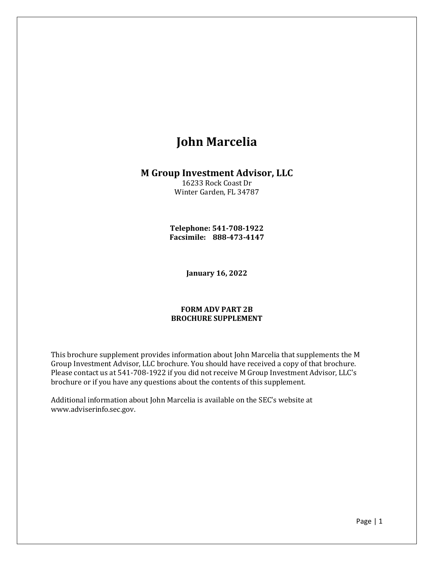# **John Marcelia**

### **M Group Investment Advisor, LLC**

16233 Rock Coast Dr Winter Garden, FL 34787

**Telephone: 541-708-1922 Facsimile: 888-473-4147**

**January 16, 2022**

#### **FORM ADV PART 2B BROCHURE SUPPLEMENT**

This brochure supplement provides information about John Marcelia that supplements the M Group Investment Advisor, LLC brochure. You should have received a copy of that brochure. Please contact us at 541-708-1922 if you did not receive M Group Investment Advisor, LLC's brochure or if you have any questions about the contents of this supplement.

Additional information about John Marcelia is available on the SEC's website at www.adviserinfo.sec.gov.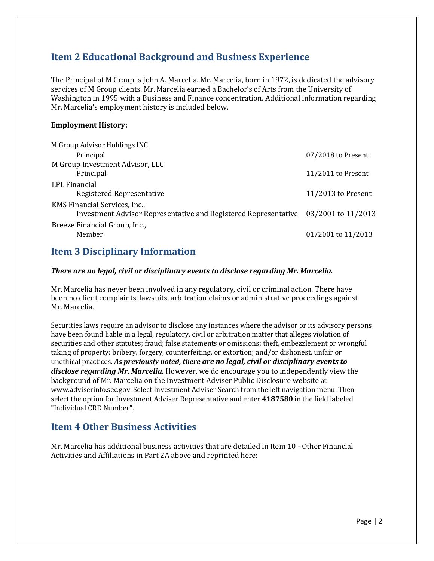## **Item 2 Educational Background and Business Experience**

The Principal of M Group is John A. Marcelia. Mr. Marcelia, born in 1972, is dedicated the advisory services of M Group clients. Mr. Marcelia earned a Bachelor's of Arts from the University of Washington in 1995 with a Business and Finance concentration. Additional information regarding Mr. Marcelia's employment history is included below.

#### **Employment History:**

| M Group Advisor Holdings INC                                    |                      |
|-----------------------------------------------------------------|----------------------|
| Principal                                                       | 07/2018 to Present   |
| M Group Investment Advisor, LLC                                 |                      |
| Principal                                                       | $11/2011$ to Present |
| LPL Financial                                                   |                      |
| Registered Representative                                       | $11/2013$ to Present |
| KMS Financial Services, Inc.,                                   |                      |
| Investment Advisor Representative and Registered Representative | 03/2001 to 11/2013   |
| Breeze Financial Group, Inc.,                                   |                      |
| Member                                                          | 01/2001 to 11/2013   |

### **Item 3 Disciplinary Information**

#### *There are no legal, civil or disciplinary events to disclose regarding Mr. Marcelia.*

Mr. Marcelia has never been involved in any regulatory, civil or criminal action. There have been no client complaints, lawsuits, arbitration claims or administrative proceedings against Mr. Marcelia.

Securities laws require an advisor to disclose any instances where the advisor or its advisory persons have been found liable in a legal, regulatory, civil or arbitration matter that alleges violation of securities and other statutes; fraud; false statements or omissions; theft, embezzlement or wrongful taking of property; bribery, forgery, counterfeiting, or extortion; and/or dishonest, unfair or unethical practices. *As previously noted, there are no legal, civil or disciplinary events to disclose regarding Mr. Marcelia.* However, we do encourage you to independently view the background of Mr. Marcelia on the Investment Adviser Public Disclosure website at www.adviserinfo.sec.gov. Select Investment Adviser Search from the left navigation menu. Then select the option for Investment Adviser Representative and enter **4187580** in the field labeled "Individual CRD Number".

### **Item 4 Other Business Activities**

Mr. Marcelia has additional business activities that are detailed in Item 10 - Other Financial Activities and Affiliations in Part 2A above and reprinted here: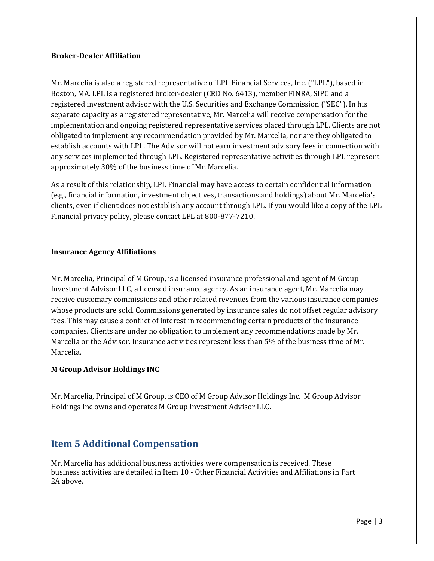#### **Broker-Dealer Affiliation**

Mr. Marcelia is also a registered representative of LPL Financial Services, Inc. ("LPL"), based in Boston, MA. LPL is a registered broker-dealer (CRD No. 6413), member FINRA, SIPC and a registered investment advisor with the U.S. Securities and Exchange Commission ("SEC"). In his separate capacity as a registered representative, Mr. Marcelia will receive compensation for the implementation and ongoing registered representative services placed through LPL. Clients are not obligated to implement any recommendation provided by Mr. Marcelia, nor are they obligated to establish accounts with LPL. The Advisor will not earn investment advisory fees in connection with any services implemented through LPL. Registered representative activities through LPL represent approximately 30% of the business time of Mr. Marcelia.

As a result of this relationship, LPL Financial may have access to certain confidential information (e.g., financial information, investment objectives, transactions and holdings) about Mr. Marcelia's clients, even if client does not establish any account through LPL. If you would like a copy of the LPL Financial privacy policy, please contact LPL at 800-877-7210.

#### **Insurance Agency Affiliations**

Mr. Marcelia, Principal of M Group, is a licensed insurance professional and agent of M Group Investment Advisor LLC, a licensed insurance agency. As an insurance agent, Mr. Marcelia may receive customary commissions and other related revenues from the various insurance companies whose products are sold. Commissions generated by insurance sales do not offset regular advisory fees. This may cause a conflict of interest in recommending certain products of the insurance companies. Clients are under no obligation to implement any recommendations made by Mr. Marcelia or the Advisor. Insurance activities represent less than 5% of the business time of Mr. Marcelia.

#### **M Group Advisor Holdings INC**

Mr. Marcelia, Principal of M Group, is CEO of M Group Advisor Holdings Inc. M Group Advisor Holdings Inc owns and operates M Group Investment Advisor LLC.

## **Item 5 Additional Compensation**

Mr. Marcelia has additional business activities were compensation is received. These business activities are detailed in Item 10 - Other Financial Activities and Affiliations in Part 2A above.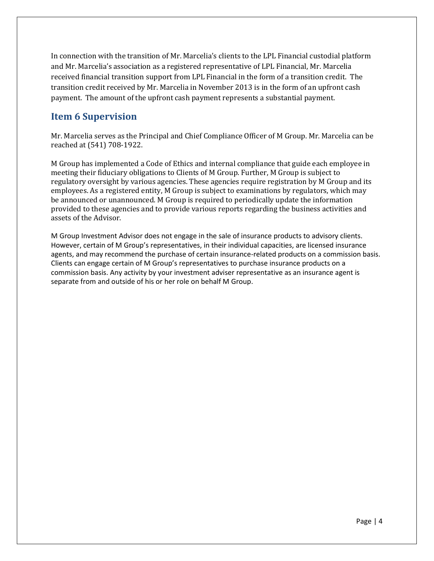In connection with the transition of Mr. Marcelia's clients to the LPL Financial custodial platform and Mr. Marcelia's association as a registered representative of LPL Financial, Mr. Marcelia received financial transition support from LPL Financial in the form of a transition credit. The transition credit received by Mr. Marcelia in November 2013 is in the form of an upfront cash payment. The amount of the upfront cash payment represents a substantial payment.

## **Item 6 Supervision**

Mr. Marcelia serves as the Principal and Chief Compliance Officer of M Group. Mr. Marcelia can be reached at (541) 708-1922.

M Group has implemented a Code of Ethics and internal compliance that guide each employee in meeting their fiduciary obligations to Clients of M Group. Further, M Group is subject to regulatory oversight by various agencies. These agencies require registration by M Group and its employees. As a registered entity, M Group is subject to examinations by regulators, which may be announced or unannounced. M Group is required to periodically update the information provided to these agencies and to provide various reports regarding the business activities and assets of the Advisor.

M Group Investment Advisor does not engage in the sale of insurance products to advisory clients. However, certain of M Group's representatives, in their individual capacities, are licensed insurance agents, and may recommend the purchase of certain insurance-related products on a commission basis. Clients can engage certain of M Group's representatives to purchase insurance products on a commission basis. Any activity by your investment adviser representative as an insurance agent is separate from and outside of his or her role on behalf M Group.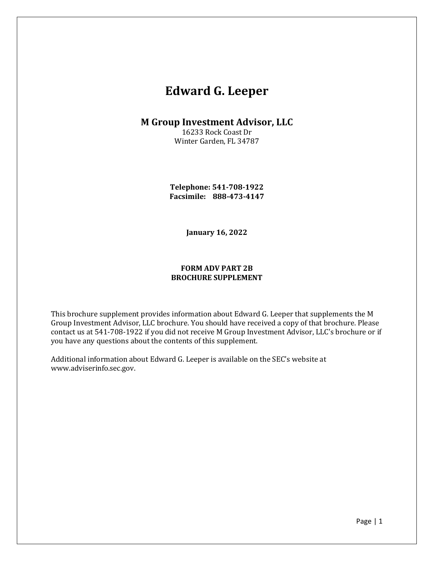# **Edward G. Leeper**

### **M Group Investment Advisor, LLC**

16233 Rock Coast Dr Winter Garden, FL 34787

**Telephone: 541-708-1922 Facsimile: 888-473-4147**

**January 16, 2022**

#### **FORM ADV PART 2B BROCHURE SUPPLEMENT**

This brochure supplement provides information about Edward G. Leeper that supplements the M Group Investment Advisor, LLC brochure. You should have received a copy of that brochure. Please contact us at 541-708-1922 if you did not receive M Group Investment Advisor, LLC's brochure or if you have any questions about the contents of this supplement.

Additional information about Edward G. Leeper is available on the SEC's website at www.adviserinfo.sec.gov.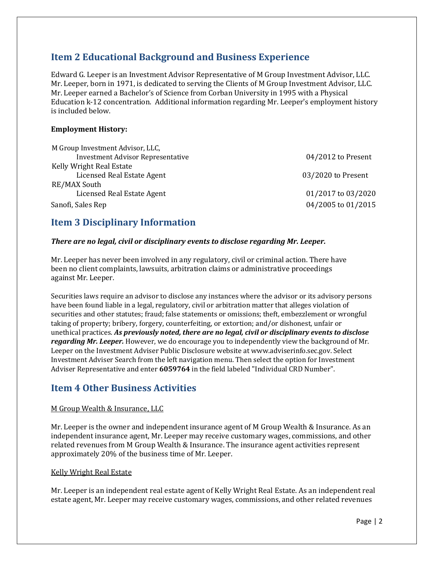## **Item 2 Educational Background and Business Experience**

Edward G. Leeper is an Investment Advisor Representative of M Group Investment Advisor, LLC. Mr. Leeper, born in 1971, is dedicated to serving the Clients of M Group Investment Advisor, LLC. Mr. Leeper earned a Bachelor's of Science from Corban University in 1995 with a Physical Education k-12 concentration. Additional information regarding Mr. Leeper's employment history is included below.

#### **Employment History:**

| M Group Investment Advisor, LLC,         |                      |
|------------------------------------------|----------------------|
| <b>Investment Advisor Representative</b> | $04/2012$ to Present |
| Kelly Wright Real Estate                 |                      |
| Licensed Real Estate Agent               | 03/2020 to Present   |
| RE/MAX South                             |                      |
| Licensed Real Estate Agent               | 01/2017 to 03/2020   |
| Sanofi, Sales Rep                        | 04/2005 to 01/2015   |

### **Item 3 Disciplinary Information**

#### *There are no legal, civil or disciplinary events to disclose regarding Mr. Leeper.*

Mr. Leeper has never been involved in any regulatory, civil or criminal action. There have been no client complaints, lawsuits, arbitration claims or administrative proceedings against Mr. Leeper.

Securities laws require an advisor to disclose any instances where the advisor or its advisory persons have been found liable in a legal, regulatory, civil or arbitration matter that alleges violation of securities and other statutes; fraud; false statements or omissions; theft, embezzlement or wrongful taking of property; bribery, forgery, counterfeiting, or extortion; and/or dishonest, unfair or unethical practices. *As previously noted, there are no legal, civil or disciplinary events to disclose regarding Mr. Leeper.* However, we do encourage you to independently view the background of Mr. Leeper on the Investment Adviser Public Disclosure website at www.adviserinfo.sec.gov. Select Investment Adviser Search from the left navigation menu. Then select the option for Investment Adviser Representative and enter **6059764** in the field labeled "Individual CRD Number".

### **Item 4 Other Business Activities**

#### M Group Wealth & Insurance, LLC

Mr. Leeper is the owner and independent insurance agent of M Group Wealth & Insurance. As an independent insurance agent, Mr. Leeper may receive customary wages, commissions, and other related revenues from M Group Wealth & Insurance. The insurance agent activities represent approximately 20% of the business time of Mr. Leeper.

#### Kelly Wright Real Estate

Mr. Leeper is an independent real estate agent of Kelly Wright Real Estate. As an independent real estate agent, Mr. Leeper may receive customary wages, commissions, and other related revenues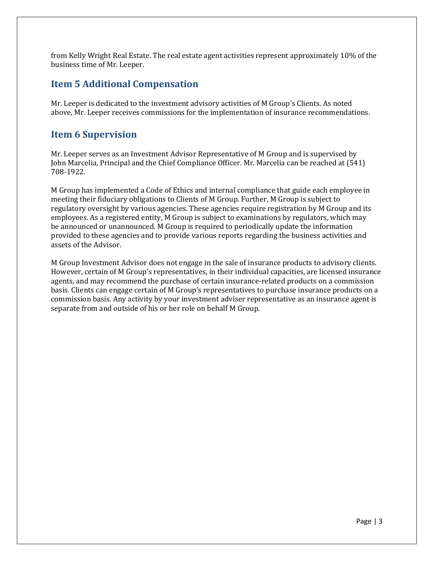from Kelly Wright Real Estate. The real estate agent activities represent approximately 10% of the business time of Mr. Leeper.

### **Item 5 Additional Compensation**

Mr. Leeper is dedicated to the investment advisory activities of M Group's Clients. As noted above, Mr. Leeper receives commissions for the implementation of insurance recommendations.

### **Item 6 Supervision**

Mr. Leeper serves as an Investment Advisor Representative of M Group and is supervised by John Marcelia, Principal and the Chief Compliance Officer. Mr. Marcelia can be reached at (541) 708-1922.

M Group has implemented a Code of Ethics and internal compliance that guide each employee in meeting their fiduciary obligations to Clients of M Group. Further, M Group is subject to regulatory oversight by various agencies. These agencies require registration by M Group and its employees. As a registered entity, M Group is subject to examinations by regulators, which may be announced or unannounced. M Group is required to periodically update the information provided to these agencies and to provide various reports regarding the business activities and assets of the Advisor.

M Group Investment Advisor does not engage in the sale of insurance products to advisory clients. However, certain of M Group's representatives, in their individual capacities, are licensed insurance agents, and may recommend the purchase of certain insurance-related products on a commission basis. Clients can engage certain of M Group's representatives to purchase insurance products on a commission basis. Any activity by your investment adviser representative as an insurance agent is separate from and outside of his or her role on behalf M Group.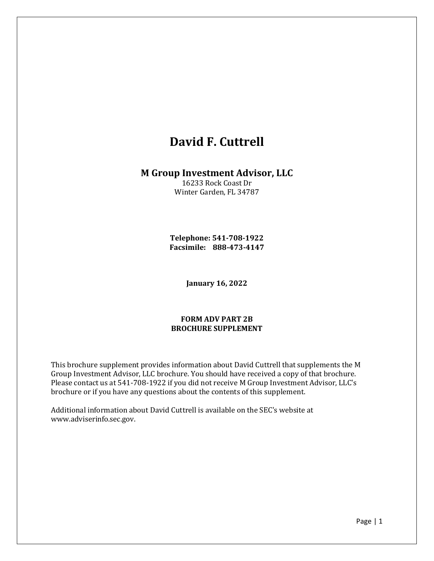# **David F. Cuttrell**

### **M Group Investment Advisor, LLC**

16233 Rock Coast Dr Winter Garden, FL 34787

**Telephone: 541-708-1922 Facsimile: 888-473-4147**

**January 16, 2022**

#### **FORM ADV PART 2B BROCHURE SUPPLEMENT**

This brochure supplement provides information about David Cuttrell that supplements the M Group Investment Advisor, LLC brochure. You should have received a copy of that brochure. Please contact us at 541-708-1922 if you did not receive M Group Investment Advisor, LLC's brochure or if you have any questions about the contents of this supplement.

Additional information about David Cuttrell is available on the SEC's website at www.adviserinfo.sec.gov.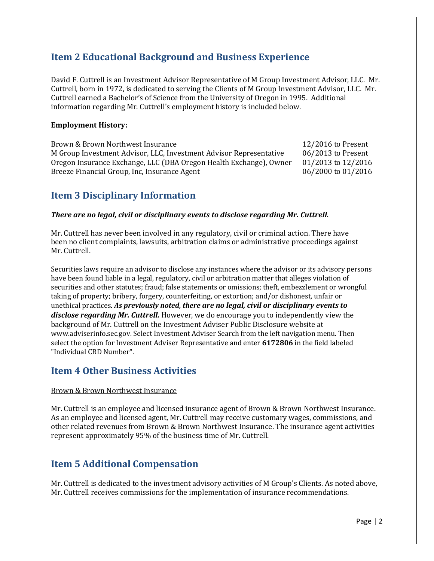## **Item 2 Educational Background and Business Experience**

David F. Cuttrell is an Investment Advisor Representative of M Group Investment Advisor, LLC. Mr. Cuttrell, born in 1972, is dedicated to serving the Clients of M Group Investment Advisor, LLC. Mr. Cuttrell earned a Bachelor's of Science from the University of Oregon in 1995. Additional information regarding Mr. Cuttrell's employment history is included below.

#### **Employment History:**

Brown & Brown Northwest Insurance 12/2016 to Present M Group Investment Advisor, LLC, Investment Advisor Representative 06/2013 to Present Oregon Insurance Exchange, LLC (DBA Oregon Health Exchange), Owner 01/2013 to 12/2016 Breeze Financial Group, Inc, Insurance Agent 06/2000 to 01/2016

## **Item 3 Disciplinary Information**

#### *There are no legal, civil or disciplinary events to disclose regarding Mr. Cuttrell.*

Mr. Cuttrell has never been involved in any regulatory, civil or criminal action. There have been no client complaints, lawsuits, arbitration claims or administrative proceedings against Mr. Cuttrell.

Securities laws require an advisor to disclose any instances where the advisor or its advisory persons have been found liable in a legal, regulatory, civil or arbitration matter that alleges violation of securities and other statutes; fraud; false statements or omissions; theft, embezzlement or wrongful taking of property; bribery, forgery, counterfeiting, or extortion; and/or dishonest, unfair or unethical practices. *As previously noted, there are no legal, civil or disciplinary events to disclose regarding Mr. Cuttrell.* However, we do encourage you to independently view the background of Mr. Cuttrell on the Investment Adviser Public Disclosure website at www.adviserinfo.sec.gov. Select Investment Adviser Search from the left navigation menu. Then select the option for Investment Adviser Representative and enter **6172806** in the field labeled "Individual CRD Number".

### **Item 4 Other Business Activities**

#### Brown & Brown Northwest Insurance

Mr. Cuttrell is an employee and licensed insurance agent of Brown & Brown Northwest Insurance. As an employee and licensed agent, Mr. Cuttrell may receive customary wages, commissions, and other related revenues from Brown & Brown Northwest Insurance. The insurance agent activities represent approximately 95% of the business time of Mr. Cuttrell.

### **Item 5 Additional Compensation**

Mr. Cuttrell is dedicated to the investment advisory activities of M Group's Clients. As noted above, Mr. Cuttrell receives commissions for the implementation of insurance recommendations.